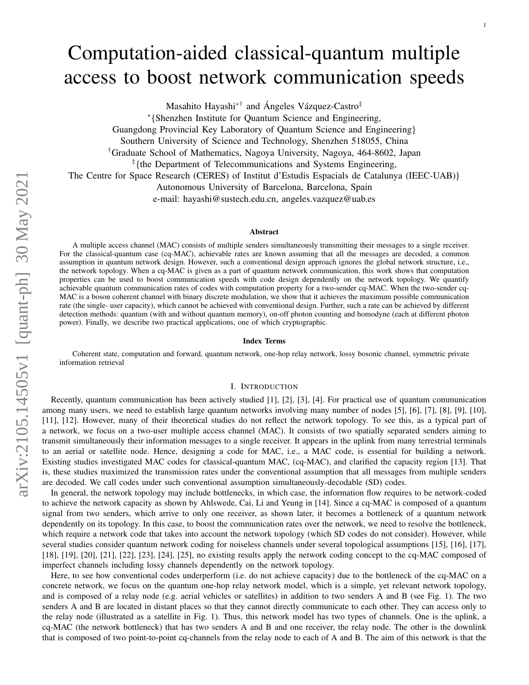# Computation-aided classical-quantum multiple access to boost network communication speeds

1

Masahito Hayashi<sup>∗†</sup> and Ángeles Vázquez-Castro<sup>‡</sup>

∗ {Shenzhen Institute for Quantum Science and Engineering,

Guangdong Provincial Key Laboratory of Quantum Science and Engineering}

Southern University of Science and Technology, Shenzhen 518055, China

†Graduate School of Mathematics, Nagoya University, Nagoya, 464-8602, Japan

‡ {the Department of Telecommunications and Systems Engineering,

The Centre for Space Research (CERES) of Institut d'Estudis Espacials de Catalunya (IEEC-UAB)}

Autonomous University of Barcelona, Barcelona, Spain

e-mail: hayashi@sustech.edu.cn, angeles.vazquez@uab.es

#### Abstract

A multiple access channel (MAC) consists of multiple senders simultaneously transmitting their messages to a single receiver. For the classical-quantum case (cq-MAC), achievable rates are known assuming that all the messages are decoded, a common assumption in quantum network design. However, such a conventional design approach ignores the global network structure, i.e., the network topology. When a cq-MAC is given as a part of quantum network communication, this work shows that computation properties can be used to boost communication speeds with code design dependently on the network topology. We quantify achievable quantum communication rates of codes with computation property for a two-sender cq-MAC. When the two-sender cq-MAC is a boson coherent channel with binary discrete modulation, we show that it achieves the maximum possible communication rate (the single- user capacity), which cannot be achieved with conventional design. Further, such a rate can be achieved by different detection methods: quantum (with and without quantum memory), on-off photon counting and homodyne (each at different photon power). Finally, we describe two practical applications, one of which cryptographic.

#### Index Terms

Coherent state, computation and forward, quantum network, one-hop relay network, lossy bosonic channel, symmetric private information retrieval

# I. INTRODUCTION

Recently, quantum communication has been actively studied [1], [2], [3], [4]. For practical use of quantum communication among many users, we need to establish large quantum networks involving many number of nodes [5], [6], [7], [8], [9], [10], [11], [12]. However, many of their theoretical studies do not reflect the network topology. To see this, as a typical part of a network, we focus on a two-user multiple access channel (MAC). It consists of two spatially separated senders aiming to transmit simultaneously their information messages to a single receiver. It appears in the uplink from many terrestrial terminals to an aerial or satellite node. Hence, designing a code for MAC, i.e., a MAC code, is essential for building a network. Existing studies investigated MAC codes for classical-quantum MAC, (cq-MAC), and clarified the capacity region [13]. That is, these studies maximized the transmission rates under the conventional assumption that all messages from multiple senders are decoded. We call codes under such conventional assumption simultaneously-decodable (SD) codes.

In general, the network topology may include bottlenecks, in which case, the information flow requires to be network-coded to achieve the network capacity as shown by Ahlswede, Cai, Li and Yeung in [14]. Since a cq-MAC is composed of a quantum signal from two senders, which arrive to only one receiver, as shown later, it becomes a bottleneck of a quantum network dependently on its topology. In this case, to boost the communication rates over the network, we need to resolve the bottleneck, which require a network code that takes into account the network topology (which SD codes do not consider). However, while several studies consider quantum network coding for noiseless channels under several topological assumptions [15], [16], [17], [18], [19], [20], [21], [22], [23], [24], [25], no existing results apply the network coding concept to the cq-MAC composed of imperfect channels including lossy channels dependently on the network topology.

Here, to see how conventional codes underperform (i.e. do not achieve capacity) due to the bottleneck of the cq-MAC on a concrete network, we focus on the quantum one-hop relay network model, which is a simple, yet relevant network topology, and is composed of a relay node (e.g. aerial vehicles or satellites) in addition to two senders A and B (see Fig. 1). The two senders A and B are located in distant places so that they cannot directly communicate to each other. They can access only to the relay node (illustrated as a satellite in Fig. 1). Thus, this network model has two types of channels. One is the uplink, a cq-MAC (the network bottleneck) that has two senders A and B and one receiver, the relay node. The other is the downlink that is composed of two point-to-point cq-channels from the relay node to each of A and B. The aim of this network is that the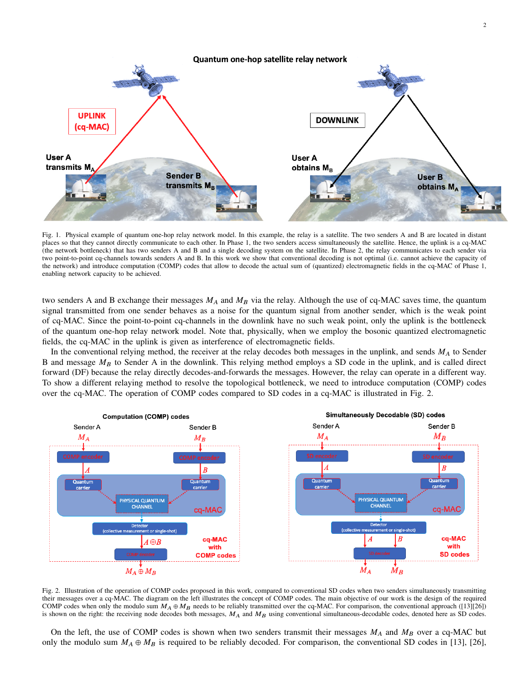

Fig. 1. Physical example of quantum one-hop relay network model. In this example, the relay is a satellite. The two senders A and B are located in distant places so that they cannot directly communicate to each other. In Phase 1, the two senders access simultaneously the satellite. Hence, the uplink is a cq-MAC (the network bottleneck) that has two senders A and B and a single decoding system on the satellite. In Phase 2, the relay communicates to each sender via two point-to-point cq-channels towards senders A and B. In this work we show that conventional decoding is not optimal (i.e. cannot achieve the capacity of the network) and introduce computation (COMP) codes that allow to decode the actual sum of (quantized) electromagnetic fields in the cq-MAC of Phase 1, enabling network capacity to be achieved.

two senders A and B exchange their messages  $M_A$  and  $M_B$  via the relay. Although the use of cq-MAC saves time, the quantum signal transmitted from one sender behaves as a noise for the quantum signal from another sender, which is the weak point of cq-MAC. Since the point-to-point cq-channels in the downlink have no such weak point, only the uplink is the bottleneck of the quantum one-hop relay network model. Note that, physically, when we employ the bosonic quantized electromagnetic fields, the cq-MAC in the uplink is given as interference of electromagnetic fields.

In the conventional relying method, the receiver at the relay decodes both messages in the unplink, and sends  $M_A$  to Sender B and message  $M_B$  to Sender A in the downlink. This relying method employs a SD code in the uplink, and is called direct forward (DF) because the relay directly decodes-and-forwards the messages. However, the relay can operate in a different way. To show a different relaying method to resolve the topological bottleneck, we need to introduce computation (COMP) codes over the cq-MAC. The operation of COMP codes compared to SD codes in a cq-MAC is illustrated in Fig. 2.



Fig. 2. Illustration of the operation of COMP codes proposed in this work, compared to conventional SD codes when two senders simultaneously transmitting their messages over a cq-MAC. The diagram on the left illustrates the concept of COMP codes. The main objective of our work is the design of the required COMP codes when only the modulo sum  $M_A \oplus M_B$  needs to be reliably transmitted over the cq-MAC. For comparison, the conventional approach ([13][26]) is shown on the right: the receiving node decodes both messages,  $M_A$  and  $M_B$  using conventional simultaneous-decodable codes, denoted here as SD codes.

On the left, the use of COMP codes is shown when two senders transmit their messages  $M_A$  and  $M_B$  over a cq-MAC but only the modulo sum  $M_A \oplus M_B$  is required to be reliably decoded. For comparison, the conventional SD codes in [13], [26],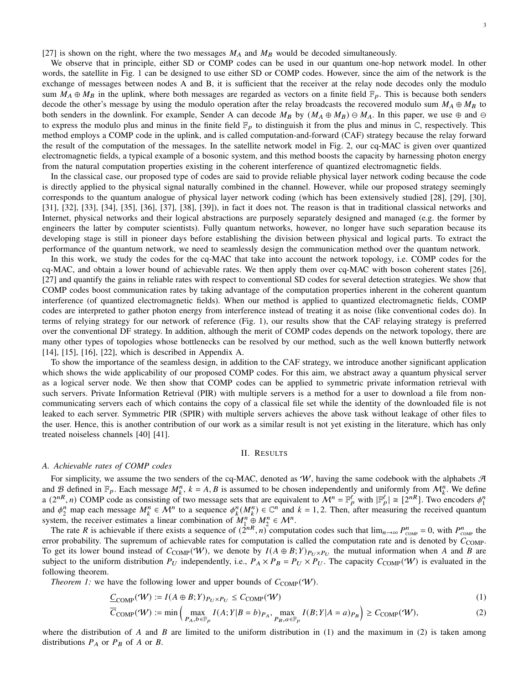[27] is shown on the right, where the two messages  $M_A$  and  $M_B$  would be decoded simultaneously.

We observe that in principle, either SD or COMP codes can be used in our quantum one-hop network model. In other words, the satellite in Fig. 1 can be designed to use either SD or COMP codes. However, since the aim of the network is the exchange of messages between nodes A and B, it is sufficient that the receiver at the relay node decodes only the modulo sum  $M_A \oplus M_B$  in the uplink, where both messages are regarded as vectors on a finite field  $\mathbb{F}_p$ . This is because both senders decode the other's message by using the modulo operation after the relay broadcasts the recovered modulo sum  $M_A \oplus M_B$  to both senders in the downlink. For example, Sender A can decode  $M_B$  by  $(M_A \oplus M_B) \ominus M_A$ . In this paper, we use  $\oplus$  and  $\ominus$ to express the modulo plus and minus in the finite field  $\mathbb{F}_p$  to distinguish it from the plus and minus in  $\mathbb{C}$ , respectively. This method employs a COMP code in the uplink, and is called computation-and-forward (CAF) strategy because the relay forward the result of the computation of the messages. In the satellite network model in Fig. 2, our cq-MAC is given over quantized electromagnetic fields, a typical example of a bosonic system, and this method boosts the capacity by harnessing photon energy from the natural computation properties existing in the coherent interference of quantized electromagnetic fields.

In the classical case, our proposed type of codes are said to provide reliable physical layer network coding because the code is directly applied to the physical signal naturally combined in the channel. However, while our proposed strategy seemingly corresponds to the quantum analogue of physical layer network coding (which has been extensively studied [28], [29], [30], [31], [32], [33], [34], [35], [36], [37], [38], [39]), in fact it does not. The reason is that in traditional classical networks and Internet, physical networks and their logical abstractions are purposely separately designed and managed (e.g. the former by engineers the latter by computer scientists). Fully quantum networks, however, no longer have such separation because its developing stage is still in pioneer days before establishing the division between physical and logical parts. To extract the performance of the quantum network, we need to seamlessly design the communication method over the quantum network.

In this work, we study the codes for the cq-MAC that take into account the network topology, i.e. COMP codes for the cq-MAC, and obtain a lower bound of achievable rates. We then apply them over cq-MAC with boson coherent states [26], [27] and quantify the gains in reliable rates with respect to conventional SD codes for several detection strategies. We show that COMP codes boost communication rates by taking advantage of the computation properties inherent in the coherent quantum interference (of quantized electromagnetic fields). When our method is applied to quantized electromagnetic fields, COMP codes are interpreted to gather photon energy from interference instead of treating it as noise (like conventional codes do). In terms of relying strategy for our network of reference (Fig. 1), our results show that the CAF relaying strategy is preferred over the conventional DF strategy. In addition, although the merit of COMP codes depends on the network topology, there are many other types of topologies whose bottlenecks can be resolved by our method, such as the well known butterfly network [14], [15], [16], [22], which is described in Appendix A.

To show the importance of the seamless design, in addition to the CAF strategy, we introduce another significant application which shows the wide applicability of our proposed COMP codes. For this aim, we abstract away a quantum physical server as a logical server node. We then show that COMP codes can be applied to symmetric private information retrieval with such servers. Private Information Retrieval (PIR) with multiple servers is a method for a user to download a file from noncommunicating servers each of which contains the copy of a classical file set while the identity of the downloaded file is not leaked to each server. Symmetric PIR (SPIR) with multiple servers achieves the above task without leakage of other files to the user. Hence, this is another contribution of our work as a similar result is not yet existing in the literature, which has only treated noiseless channels [40] [41].

## II. RESULTS

## *A. Achievable rates of COMP codes*

For simplicity, we assume the two senders of the cq-MAC, denoted as  $W$ , having the same codebook with the alphabets  $\mathcal A$ and B defined in  $\mathbb{F}_p$ . Each message  $M_k^n$ ,  $k = A, B$  is assumed to be chosen independently and uniformly from  $M_k^n$ . We define a  $(2^{nR}, n)$  COMP code as consisting of two message sets that are equivalent to  $M^n = \mathbb{F}_p^{\ell}$  with  $|\mathbb{F}_p^{\ell}| \cong [2^{nR}]$ . Two encoders  $\phi_1^n$ 1 and  $\phi_2^n$  map each message  $M_k^n \in \mathcal{M}^n$  to a sequence  $\phi_k^n(M_k^n) \in \mathbb{C}^n$  and  $k = 1, 2$ . Then, after measuring the received quantum system, the receiver estimates a linear combination of  $M_1^n \oplus M_2^n \in \mathcal{M}^n$ .

The rate R is achievable if there exists a sequence of  $(2^{nR}, n)^2$  computation codes such that  $\lim_{n\to\infty} P_{\text{COMP}}^n = 0$ , with  $P_{\text{COMP}}^n$  the error probability. The supremum of achievable rates for computation is called the computation rate and is denoted by  $C_{\text{COMP}}$ . To get its lower bound instead of  $C_{\text{COMP}}(\mathcal{W})$ , we denote by  $I(A \oplus B; Y)_{P_U \times P_U}$  the mutual information when A and B are subject to the uniform distribution  $P_U$  independently, i.e.,  $P_A \times P_B = P_U \times P_U$ . The capacity  $C_{\text{COMP}}(\mathcal{W})$  is evaluated in the following theorem.

*Theorem 1:* we have the following lower and upper bounds of  $C_{\text{COMP}}(\mathcal{W})$ .

$$
\underline{C}_{\text{COMP}}(\mathcal{W}) := I(A \oplus B; Y)_{P_U \times P_U} \le C_{\text{COMP}}(\mathcal{W})
$$
\n(1)

$$
\overline{C}_{\text{COMP}}(\mathcal{W}) := \min\left(\max_{P_A, b \in \mathbb{F}_p} I(A; Y | B = b)_{P_A}, \max_{P_B, a \in \mathbb{F}_p} I(B; Y | A = a)_{P_B}\right) \ge C_{\text{COMP}}(\mathcal{W}),\tag{2}
$$

where the distribution of  $A$  and  $B$  are limited to the uniform distribution in (1) and the maximum in (2) is taken among distributions  $P_A$  or  $P_B$  of A or B.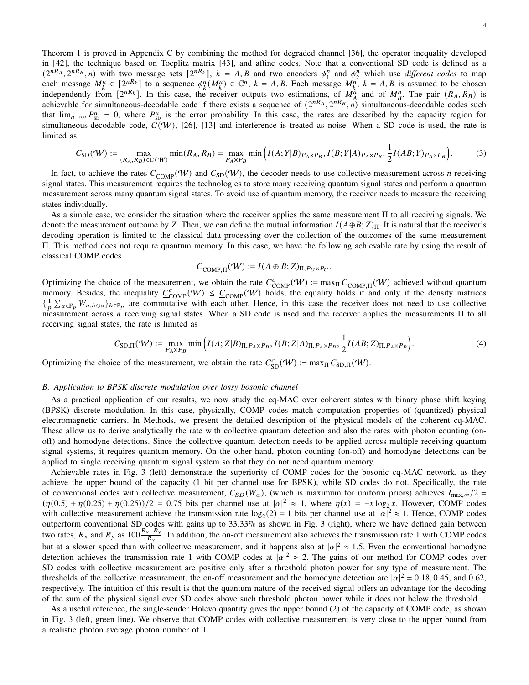Theorem 1 is proved in Appendix C by combining the method for degraded channel [36], the operator inequality developed in [42], the technique based on Toeplitz matrix [43], and affine codes. Note that a conventional SD code is defined as a  $(2^{nR_A}, 2^{nR_B}, n)$  with two message sets  $[2^{nR_k}]$ ,  $k = A, B$  and two encoders  $\phi_1^n$  $\int_1^n$  and  $\phi_2^n$  which use *different codes* to map each message  $M_k^n \in [2^{nR_k}]$  to a sequence  $\phi_k^n(M_k^n) \in \mathbb{C}^n$ ,  $k = A, B$ . Each message  $M_k^n$ ,  $k = A, B$  is assumed to be chosen independently from [2<sup>nRk</sup>]. In this case, the receiver outputs two estimations, of  $M_A^h$  and of  $M_B^n$ . The pair  $(R_A, R_B)$  is achievable for simultaneous-decodable code if there exists a sequence of  $(2^{nR_A}, 2^{nR_B}, n)$  simultaneous-decodable codes such<br>that  $\lim_{n \to \infty} n^n = 0$ , where  $R^n$  is the error probability. In this case, the pates are descri that  $\lim_{n\to\infty} P_{\text{SD}}^n = 0$ , where  $P_{\text{SD}}^n$  is the error probability. In this case, the rates are described by the capacity region for simultaneous-decodable code,  $C(W)$ , [26], [13] and interference is treated as noise. When a SD code is used, the rate is limited as

$$
C_{\text{SD}}(\mathcal{W}) := \max_{(R_A, R_B) \in C(\mathcal{W})} \min(R_A, R_B) = \max_{P_A \times P_B} \min\left(I(A;Y|B)_{P_A \times P_B}, I(B;Y|A)_{P_A \times P_B}, \frac{1}{2}I(AB;Y)_{P_A \times P_B}\right). \tag{3}
$$

In fact, to achieve the rates  $C_{\text{COMP}}(\mathcal{W})$  and  $C_{\text{SD}}(\mathcal{W})$ , the decoder needs to use collective measurement across *n* receiving signal states. This measurement requires the technologies to store many receiving quantum signal states and perform a quantum measurement across many quantum signal states. To avoid use of quantum memory, the receiver needs to measure the receiving states individually.

As a simple case, we consider the situation where the receiver applies the same measurement Π to all receiving signals. We denote the measurement outcome by Z. Then, we can define the mutual information  $I(A \oplus B; Z)_{II}$ . It is natural that the receiver's decoding operation is limited to the classical data processing over the collection of the outcomes of the same measurement Π. This method does not require quantum memory. In this case, we have the following achievable rate by using the result of classical COMP codes

$$
\underline{C}_{\text{COMP},\Pi}(\mathcal{W}) := I(A \oplus B; Z)_{\Pi,P_U \times P_U}.
$$

Optimizing the choice of the measurement, we obtain the rate  $\underline{C}_{COMP}^c(W) := \max_{\Pi} \underline{C}_{COMP,\Pi}(W)$  achieved without quantum memory. Besides, the inequality  $C_{\text{COMP}}^c(W) \leq C_{\text{COMP}}(W)$  holds, the equality holds if and only if the density matrices  $\{\frac{1}{R}\sum_{a\in\mathbb{F}_p}W_{a,b\ominus a}\}_{b\in\mathbb{F}_p}$  are commutative with each other. Hence, in this case the receiver does not need to use collective measurement across *n* receiving signal states. When a SD code is used and the receiver applies the measurements  $\Pi$  to all receiving signal states, the rate is limited as

$$
C_{\text{SD},\Pi}(\mathcal{W}) := \max_{P_A \times P_B} \min \Big( I(A;Z|B)_{\Pi, P_A \times P_B}, I(B;Z|A)_{\Pi, P_A \times P_B}, \frac{1}{2} I(AB;Z)_{\Pi, P_A \times P_B} \Big). \tag{4}
$$

Optimizing the choice of the measurement, we obtain the rate  $C_{SD}^{c}(\mathcal{W}) := \max_{\Pi} C_{SD,\Pi}(\mathcal{W})$ .

#### *B. Application to BPSK discrete modulation over lossy bosonic channel*

As a practical application of our results, we now study the cq-MAC over coherent states with binary phase shift keying (BPSK) discrete modulation. In this case, physically, COMP codes match computation properties of (quantized) physical electromagnetic carriers. In Methods, we present the detailed description of the physical models of the coherent cq-MAC. These allow us to derive analytically the rate with collective quantum detection and also the rates with photon counting (onoff) and homodyne detections. Since the collective quantum detection needs to be applied across multiple receiving quantum signal systems, it requires quantum memory. On the other hand, photon counting (on-off) and homodyne detections can be applied to single receiving quantum signal system so that they do not need quantum memory.

Achievable rates in Fig. 3 (left) demonstrate the superiority of COMP codes for the bosonic cq-MAC network, as they achieve the upper bound of the capacity (1 bit per channel use for BPSK), while SD codes do not. Specifically, the rate of conventional codes with collective measurement,  $C_{SD}(W_{\alpha})$ , (which is maximum for uniform priors) achieves  $I_{\text{max},\infty}/2 =$  $(\eta(0.5) + \eta(0.25) + \eta(0.25))/2 = 0.75$  bits per channel use at  $|\alpha|^2 \approx 1$ , where  $\eta(x) = -x \log_2 x$ . However, COMP codes with collective measurement achieve the transmission rate  $log_2(2) = 1$  bits per channel use at  $|\alpha|^2 \approx 1$ . Hence, COMP codes outperform conventional SD codes with gains up to 33.33% as shown in Fig. 3 (right), where we have defined gain between two rates,  $R_x$  and  $R_y$  as  $100 \frac{R_x - R_y}{R_y}$ . In addition, the on-off measurement also achieves the transmission rate 1 with COMP codes but at a slower speed than with collective measurement, and it happens also at  $|\alpha|^2 \approx 1.5$ . Even the conventional homodyne detection achieves the transmission rate 1 with COMP codes at  $|\alpha|^2 \approx 2$ . The gains of our method for COMP codes over SD codes with collective measurement are positive only after a threshold photon power for any type of measurement. The thresholds of the collective measurement, the on-off measurement and the homodyne detection are  $|\alpha|^2 = 0.18, 0.45$ , and 0.62, respectively. The intuition of this result is that the quantum nature of the received signal offers an advantage for the decoding of the sum of the physical signal over SD codes above such threshold photon power while it does not below the threshold.

As a useful reference, the single-sender Holevo quantity gives the upper bound (2) of the capacity of COMP code, as shown in Fig. 3 (left, green line). We observe that COMP codes with collective measurement is very close to the upper bound from a realistic photon average photon number of 1.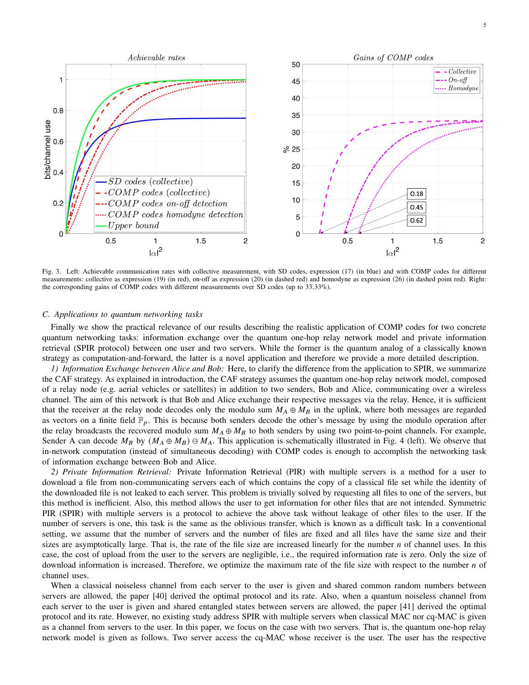



Fig. 3. Left: Achievable communication rates with collective measurement, with SD codes, expression (17) (in blue) and with COMP codes for different measurements: collective as expression (19) (in red), on-off as expression (20) (in dashed red) and homodyne as expression (26) (in dashed point red). Right: the corresponding gains of COMP codes with different measurements over SD codes (up to 33.33%).

#### *C. Applications to quantum networking tasks*

Finally we show the practical relevance of our results describing the realistic application of COMP codes for two concrete quantum networking tasks: information exchange over the quantum one-hop relay network model and private information retrieval (SPIR protocol) between one user and two servers. While the former is the quantum analog of a classically known strategy as computation-and-forward, the latter is a novel application and therefore we provide a more detailed description.

*1) Information Exchange between Alice and Bob:* Here, to clarify the difference from the application to SPIR, we summarize the CAF strategy. As explained in introduction, the CAF strategy assumes the quantum one-hop relay network model, composed of a relay node (e.g. aerial vehicles or satellites) in addition to two senders, Bob and Alice, communicating over a wireless channel. The aim of this network is that Bob and Alice exchange their respective messages via the relay. Hence, it is sufficient that the receiver at the relay node decodes only the modulo sum  $M_A \oplus M_B$  in the uplink, where both messages are regarded as vectors on a finite field  $\mathbb{F}_p$ . This is because both senders decode the other's message by using the modulo operation after the relay broadcasts the recovered modulo sum  $M_A \oplus M_B$  to both senders by using two point-to-point channels. For example, Sender A can decode  $M_B$  by  $(M_A \oplus M_B) \ominus M_A$ . This application is schematically illustrated in Fig. 4 (left). We observe that in-network computation (instead of simultaneous decoding) with COMP codes is enough to accomplish the networking task of information exchange between Bob and Alice.

*2) Private Information Retrieval:* Private Information Retrieval (PIR) with multiple servers is a method for a user to download a file from non-communicating servers each of which contains the copy of a classical file set while the identity of the downloaded file is not leaked to each server. This problem is trivially solved by requesting all files to one of the servers, but this method is inefficient. Also, this method allows the user to get information for other files that are not intended. Symmetric PIR (SPIR) with multiple servers is a protocol to achieve the above task without leakage of other files to the user. If the number of servers is one, this task is the same as the oblivious transfer, which is known as a difficult task. In a conventional setting, we assume that the number of servers and the number of files are fixed and all files have the same size and their sizes are asymptotically large. That is, the rate of the file size are increased linearly for the number  $n$  of channel uses. In this case, the cost of upload from the user to the servers are negligible, i.e., the required information rate is zero. Only the size of download information is increased. Therefore, we optimize the maximum rate of the file size with respect to the number  $n$  of channel uses.

When a classical noiseless channel from each server to the user is given and shared common random numbers between servers are allowed, the paper [40] derived the optimal protocol and its rate. Also, when a quantum noiseless channel from each server to the user is given and shared entangled states between servers are allowed, the paper [41] derived the optimal protocol and its rate. However, no existing study address SPIR with multiple servers when classical MAC nor cq-MAC is given as a channel from servers to the user. In this paper, we focus on the case with two servers. That is, the quantum one-hop relay network model is given as follows. Two server access the cq-MAC whose receiver is the user. The user has the respective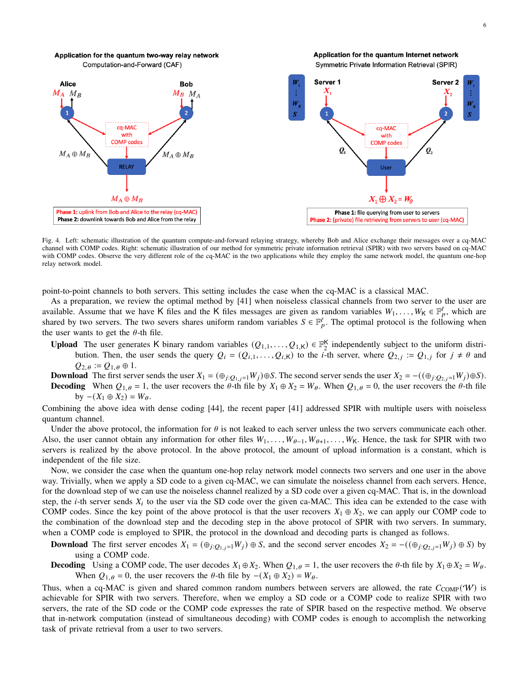

Fig. 4. Left: schematic illustration of the quantum compute-and-forward relaying strategy, whereby Bob and Alice exchange their messages over a cq-MAC channel with COMP codes. Right: schematic illustration of our method for symmetric private information retrieval (SPIR) with two servers based on cq-MAC with COMP codes. Observe the very different role of the cq-MAC in the two applications while they employ the same network model, the quantum one-hop relay network model.

point-to-point channels to both servers. This setting includes the case when the cq-MAC is a classical MAC.

As a preparation, we review the optimal method by [41] when noiseless classical channels from two server to the user are available. Assume that we have K files and the K files messages are given as random variables  $W_1, \ldots, W_K \in \mathbb{F}_p^{\ell}$ , which are shared by two servers. The two severs shares uniform random variables  $S \in \mathbb{F}_p^{\ell}$ . The optimal protocol is the following when the user wants to get the  $\theta$ -th file.

**Upload** The user generates K binary random variables  $(Q_{1,1},...,Q_{1,K}) \in \mathbb{F}_2^K$  independently subject to the uniform distribution. Then, the user sends the query  $Q_i = (Q_{i,1}, \ldots, Q_{i,K})$  to the *i*-th server, where  $Q_{2,j} := Q_{1,j}$  for  $j \neq \theta$  and  $Q_{2,\theta} \coloneqq Q_{1,\theta} \oplus 1.$ 

**Download** The first server sends the user  $X_1 = (\bigoplus_{j:Q_{1,j}=1} W_j) \oplus S$ . The second server sends the user  $X_2 = -((\bigoplus_{j:Q_{2,j}=1} W_j) \oplus S)$ . **Decoding** When  $Q_{1,\theta} = 1$ , the user recovers the  $\theta$ -th file by  $X_1 \oplus X_2 = W_\theta$ . When  $Q_{1,\theta} = 0$ , the user recovers the  $\theta$ -th file by  $-(X_1 \oplus X_2) = W_\theta$ .

Combining the above idea with dense coding [44], the recent paper [41] addressed SPIR with multiple users with noiseless quantum channel.

Under the above protocol, the information for  $\theta$  is not leaked to each server unless the two servers communicate each other. Also, the user cannot obtain any information for other files  $W_1, \ldots, W_{\theta-1}, W_{\theta+1}, \ldots, W_K$ . Hence, the task for SPIR with two servers is realized by the above protocol. In the above protocol, the amount of upload information is a constant, which is independent of the file size.

Now, we consider the case when the quantum one-hop relay network model connects two servers and one user in the above way. Trivially, when we apply a SD code to a given cq-MAC, we can simulate the noiseless channel from each servers. Hence, for the download step of we can use the noiseless channel realized by a SD code over a given cq-MAC. That is, in the download step, the *i*-th server sends  $X_i$  to the user via the SD code over the given ca-MAC. This idea can be extended to the case with COMP codes. Since the key point of the above protocol is that the user recovers  $X_1 \oplus X_2$ , we can apply our COMP code to the combination of the download step and the decoding step in the above protocol of SPIR with two servers. In summary, when a COMP code is employed to SPIR, the protocol in the download and decoding parts is changed as follows.

**Download** The first server encodes  $X_1 = (\bigoplus_{j:Q_{1,j}=1} W_j) \oplus S$ , and the second server encodes  $X_2 = -((\bigoplus_{j:Q_{2,j}=1} W_j) \oplus S)$  by using a COMP code.

**Decoding** Using a COMP code, The user decodes  $X_1 \oplus X_2$ . When  $Q_{1,\theta} = 1$ , the user recovers the  $\theta$ -th file by  $X_1 \oplus X_2 = W_{\theta}$ . When  $Q_{1,\theta} = 0$ , the user recovers the  $\theta$ -th file by  $-(X_1 \oplus X_2) = W_{\theta}$ .

Thus, when a cq-MAC is given and shared common random numbers between servers are allowed, the rate  $C_{\text{COMP}}(W)$  is achievable for SPIR with two servers. Therefore, when we employ a SD code or a COMP code to realize SPIR with two servers, the rate of the SD code or the COMP code expresses the rate of SPIR based on the respective method. We observe that in-network computation (instead of simultaneous decoding) with COMP codes is enough to accomplish the networking task of private retrieval from a user to two servers.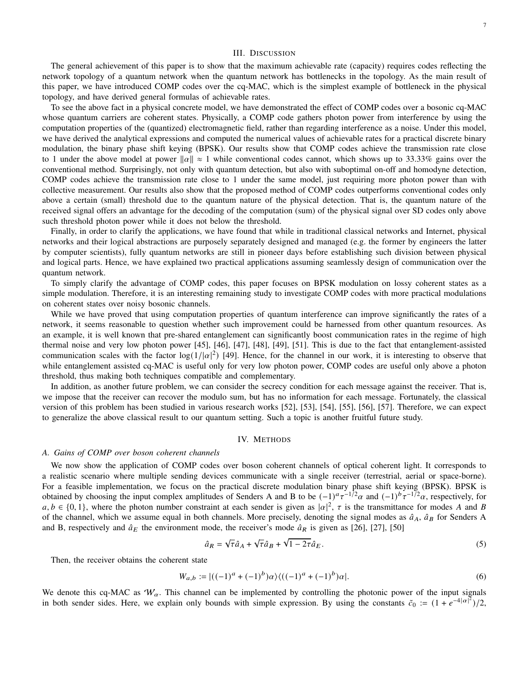# III. DISCUSSION

The general achievement of this paper is to show that the maximum achievable rate (capacity) requires codes reflecting the network topology of a quantum network when the quantum network has bottlenecks in the topology. As the main result of this paper, we have introduced COMP codes over the cq-MAC, which is the simplest example of bottleneck in the physical topology, and have derived general formulas of achievable rates.

To see the above fact in a physical concrete model, we have demonstrated the effect of COMP codes over a bosonic cq-MAC whose quantum carriers are coherent states. Physically, a COMP code gathers photon power from interference by using the computation properties of the (quantized) electromagnetic field, rather than regarding interference as a noise. Under this model, we have derived the analytical expressions and computed the numerical values of achievable rates for a practical discrete binary modulation, the binary phase shift keying (BPSK). Our results show that COMP codes achieve the transmission rate close to 1 under the above model at power  $\|\alpha\| \approx 1$  while conventional codes cannot, which shows up to 33.33% gains over the conventional method. Surprisingly, not only with quantum detection, but also with suboptimal on-off and homodyne detection, COMP codes achieve the transmission rate close to 1 under the same model, just requiring more photon power than with collective measurement. Our results also show that the proposed method of COMP codes outperforms conventional codes only above a certain (small) threshold due to the quantum nature of the physical detection. That is, the quantum nature of the received signal offers an advantage for the decoding of the computation (sum) of the physical signal over SD codes only above such threshold photon power while it does not below the threshold.

Finally, in order to clarify the applications, we have found that while in traditional classical networks and Internet, physical networks and their logical abstractions are purposely separately designed and managed (e.g. the former by engineers the latter by computer scientists), fully quantum networks are still in pioneer days before establishing such division between physical and logical parts. Hence, we have explained two practical applications assuming seamlessly design of communication over the quantum network.

To simply clarify the advantage of COMP codes, this paper focuses on BPSK modulation on lossy coherent states as a simple modulation. Therefore, it is an interesting remaining study to investigate COMP codes with more practical modulations on coherent states over noisy bosonic channels.

While we have proved that using computation properties of quantum interference can improve significantly the rates of a network, it seems reasonable to question whether such improvement could be harnessed from other quantum resources. As an example, it is well known that pre-shared entanglement can significantly boost communication rates in the regime of high thermal noise and very low photon power [45], [46], [47], [48], [49], [51]. This is due to the fact that entanglement-assisted communication scales with the factor  $log(1/|\alpha|^2)$  [49]. Hence, for the channel in our work, it is interesting to observe that while entanglement assisted cq-MAC is useful only for very low photon power, COMP codes are useful only above a photon threshold, thus making both techniques compatible and complementary.

In addition, as another future problem, we can consider the secrecy condition for each message against the receiver. That is, we impose that the receiver can recover the modulo sum, but has no information for each message. Fortunately, the classical version of this problem has been studied in various research works [52], [53], [54], [55], [56], [57]. Therefore, we can expect to generalize the above classical result to our quantum setting. Such a topic is another fruitful future study.

#### IV. METHODS

## *A. Gains of COMP over boson coherent channels*

We now show the application of COMP codes over boson coherent channels of optical coherent light. It corresponds to a realistic scenario where multiple sending devices communicate with a single receiver (terrestrial, aerial or space-borne). For a feasible implementation, we focus on the practical discrete modulation binary phase shift keying (BPSK). BPSK is obtained by choosing the input complex amplitudes of Senders A and B to be  $(-1)^a \tau^{-1/2} \alpha$  and  $(-1)^b \tau^{-1/2} \alpha$ , respectively, for  $a, b \in \{0, 1\}$ , where the photon number constraint at each sender is given as  $|\alpha|^2$ ,  $\tau$  is the transmittance for modes A and B of the channel, which we assume equal in both channels. More precisely, denoting the signal modes as  $\hat{a}_A$ ,  $\hat{a}_B$  for Senders A and B, respectively and  $\hat{a}_E$  the environment mode, the receiver's mode  $\hat{a}_R$  is given as [26], [27], [50]

$$
\hat{a}_R = \sqrt{\tau} \hat{a}_A + \sqrt{\tau} \hat{a}_B + \sqrt{1 - 2\tau} \hat{a}_E.
$$
\n(5)

Then, the receiver obtains the coherent state

$$
W_{a,b} := \left| \left( (-1)^a + (-1)^b \right) \alpha \right\rangle \left( \left( (-1)^a + (-1)^b \right) \alpha \right|.
$$
 (6)

We denote this cq-MAC as  $W_{\alpha}$ . This channel can be implemented by controlling the photonic power of the input signals in both sender sides. Here, we explain only bounds with simple expression. By using the constants  $\tilde{c}_0 := (1 + e^{-4|\alpha|^2})/2$ ,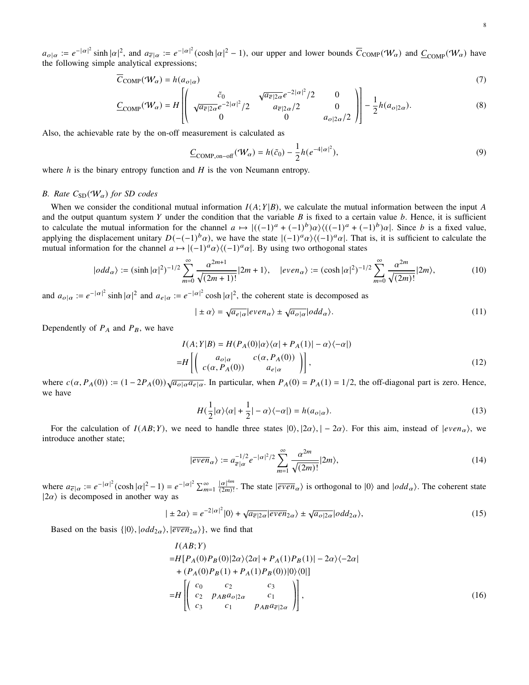$a_{o|\alpha} := e^{-|\alpha|^2} \sinh |\alpha|^2$ , and  $a_{\overline{e}|\alpha} := e^{-|\alpha|^2} (\cosh |\alpha|^2 - 1)$ , our upper and lower bounds  $\overline{C}_{\text{COMP}}(\mathcal{W}_{\alpha})$  and  $\underline{C}_{\text{COMP}}(\mathcal{W}_{\alpha})$  have the following simple analytical expressions;

$$
\overline{C}_{\text{COMP}}(\mathcal{W}_{\alpha}) = h(a_{o|\alpha})\tag{7}
$$

$$
\underline{C}_{\text{COMP}}(\mathcal{W}_{\alpha}) = H \left[ \begin{pmatrix} \tilde{c}_0 & \sqrt{a_{\overline{e}} 2\alpha} e^{-2|\alpha|^2} / 2 & 0 \\ \sqrt{a_{\overline{e}} 2\alpha} e^{-2|\alpha|^2} / 2 & a_{\overline{e}} 2\alpha / 2 & 0 \\ 0 & 0 & a_{o|2\alpha} / 2 \end{pmatrix} \right] - \frac{1}{2} h(a_{o|2\alpha}).
$$
\n(8)

Also, the achievable rate by the on-off measurement is calculated as

$$
\underline{C}_{\text{COMP},\text{on-off}}(\mathcal{W}_{\alpha}) = h(\tilde{c}_0) - \frac{1}{2}h(e^{-4|\alpha|^2}),\tag{9}
$$

 $^{\prime}$ 

Í

where  $h$  is the binary entropy function and  $H$  is the von Neumann entropy.

# *B. Rate*  $C_{SD}(W_{\alpha})$  *for SD codes*

When we consider the conditional mutual information  $I(A; Y|B)$ , we calculate the mutual information between the input A and the output quantum system Y under the condition that the variable  $B$  is fixed to a certain value  $b$ . Hence, it is sufficient to calculate the mutual information for the channel  $a \mapsto |((-1)^a + (-1)^b)\alpha\rangle \langle ((-1)^a + (-1)^b)\alpha|$ . Since *b* is a fixed value, applying the displacement unitary  $D(-(1)^b\alpha)$ , we have the state  $|(-1)^a\alpha\rangle\langle(-1)^a\alpha|$ . That is, it is sufficient to calculate the mutual information for the channel  $a \mapsto |(-1)^a \alpha \rangle \langle (-1)^a \alpha |$ . By using two orthogonal states

$$
|odd_{\alpha}\rangle := (\sinh|\alpha|^2)^{-1/2} \sum_{m=0}^{\infty} \frac{\alpha^{2m+1}}{\sqrt{(2m+1)!}} |2m+1\rangle, \quad |even_{\alpha}\rangle := (\cosh|\alpha|^2)^{-1/2} \sum_{m=0}^{\infty} \frac{\alpha^{2m}}{\sqrt{(2m)!}} |2m\rangle, \tag{10}
$$

and  $a_{o|\alpha} := e^{-|\alpha|^2} \sinh |\alpha|^2$  and  $a_{e|\alpha} := e^{-|\alpha|^2} \cosh |\alpha|^2$ , the coherent state is decomposed as

$$
|\pm\alpha\rangle = \sqrt{a_{e|\alpha}} |even_{\alpha}\rangle \pm \sqrt{a_{o|\alpha}} |odd_{\alpha}\rangle.
$$
 (11)

Dependently of  $P_A$  and  $P_B$ , we have

$$
I(A;Y|B) = H(P_A(0)|\alpha\rangle\langle\alpha| + P_A(1)| - \alpha\rangle\langle-\alpha|)
$$
  
=
$$
H\left[\begin{pmatrix} a_{o|\alpha} & c(\alpha, P_A(0)) \\ c(\alpha, P_A(0)) & a_{e|\alpha} \end{pmatrix}\right],
$$
 (12)

where  $c(\alpha, P_A(0)) := (1 - 2P_A(0))\sqrt{a_{o|\alpha}a_{e|\alpha}}$ . In particular, when  $P_A(0) = P_A(1) = 1/2$ , the off-diagonal part is zero. Hence, we have

$$
H(\frac{1}{2}|\alpha\rangle\langle\alpha| + \frac{1}{2}|- \alpha\rangle\langle-\alpha|) = h(a_{o|\alpha}).
$$
\n(13)

For the calculation of  $I(AB;Y)$ , we need to handle three states  $|0\rangle$ ,  $|2\alpha\rangle$ ,  $|-2\alpha\rangle$ . For this aim, instead of  $|even_{\alpha}\rangle$ , we introduce another state;

$$
|\overline{even}_{\alpha}\rangle := a_{\overline{e}|_{\alpha}}^{-1/2} e^{-|\alpha|^2/2} \sum_{m=1}^{\infty} \frac{\alpha^{2m}}{\sqrt{(2m)!}} |2m\rangle,
$$
\n(14)

where  $a_{\overline{e}|\alpha} := e^{-|\alpha|^2} (\cosh |\alpha|^2 - 1) = e^{-|\alpha|^2} \sum_{m=1}^{\infty} \frac{|\alpha|^{4m}}{(2m)!}$  $\frac{|\alpha|^{4m}}{(2m)!}$ . The state  $\ket{\overline{even}_\alpha}$  is orthogonal to  $|0\rangle$  and  $|odd_\alpha\rangle$ . The coherent state  $|2\alpha\rangle$  is decomposed in another way as

$$
|\pm 2\alpha\rangle = e^{-2|\alpha|^2}|0\rangle + \sqrt{a_{\overline{e}|2\alpha}}|\overline{even}_{2\alpha}\rangle \pm \sqrt{a_{o|2\alpha}}|odd_{2\alpha}\rangle,\tag{15}
$$

Based on the basis  $\{|0\rangle, |odd_{2\alpha}\rangle, |\overline{even}_{2\alpha}\rangle\}$ , we find that

$$
I(AB;Y)
$$
  
= $H[P_A(0)P_B(0)|2\alpha\rangle\langle 2\alpha| + P_A(1)P_B(1)| - 2\alpha\rangle\langle -2\alpha|$   
+  $(P_A(0)P_B(1) + P_A(1)P_B(0))|0\rangle\langle 0|]$   
= $H\left[\begin{pmatrix} c_0 & c_2 & c_3 \\ c_2 & p_{AB}a_{o|2\alpha} & c_1 \\ c_3 & c_1 & p_{AB}a_{\overline{e}|2\alpha} \end{pmatrix}\right],$  (16)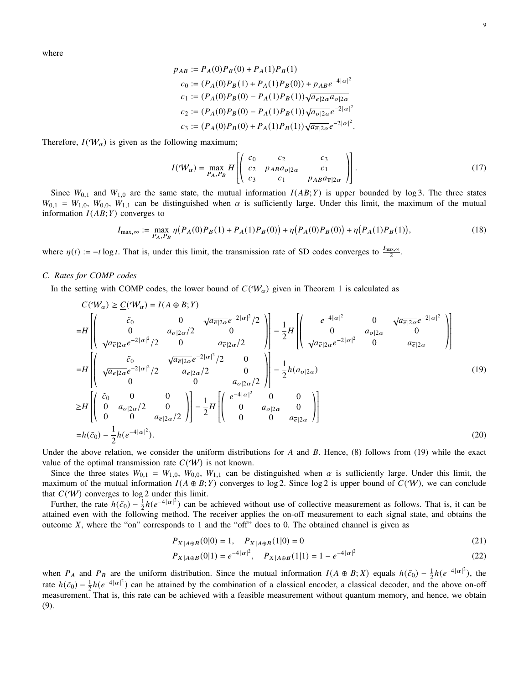where

$$
p_{AB} := P_A(0)P_B(0) + P_A(1)P_B(1)
$$
  
\n
$$
c_0 := (P_A(0)P_B(1) + P_A(1)P_B(0)) + p_{AB}e^{-4|\alpha|^2}
$$
  
\n
$$
c_1 := (P_A(0)P_B(0) - P_A(1)P_B(1))\sqrt{a_{\overline{e}|2\alpha}a_{o|2\alpha}}
$$
  
\n
$$
c_2 := (P_A(0)P_B(0) - P_A(1)P_B(1))\sqrt{a_{o|2\alpha}}e^{-2|\alpha|^2}
$$
  
\n
$$
c_3 := (P_A(0)P_B(0) + P_A(1)P_B(1))\sqrt{a_{\overline{e}|2\alpha}}e^{-2|\alpha|^2}.
$$

Therefore,  $I(\mathcal{W}_{\alpha})$  is given as the following maximum;

$$
I(\mathcal{W}_{\alpha}) = \max_{P_A, P_B} H \left[ \begin{pmatrix} c_0 & c_2 & c_3 \\ c_2 & p_{AB} a_{o|2\alpha} & c_1 \\ c_3 & c_1 & p_{AB} a_{\overline{e}|2\alpha} \end{pmatrix} \right].
$$
 (17)

Since  $W_{0,1}$  and  $W_{1,0}$  are the same state, the mutual information  $I(AB;Y)$  is upper bounded by log 3. The three states  $W_{0,1} = W_{1,0}$ ,  $W_{0,0}$ ,  $W_{1,1}$  can be distinguished when  $\alpha$  is sufficiently large. Under this limit, the maximum of the mutual information  $I(AB;Y)$  converges to

$$
I_{\max,\infty} := \max_{P_A, P_B} \eta \big( P_A(0) P_B(1) + P_A(1) P_B(0) \big) + \eta \big( P_A(0) P_B(0) \big) + \eta \big( P_A(1) P_B(1) \big),\tag{18}
$$

where  $\eta(t) := -t \log t$ . That is, under this limit, the transmission rate of SD codes converges to  $\frac{I_{\text{max},\infty}}{2}$ .

# *C. Rates for COMP codes*

In the setting with COMP codes, the lower bound of  $C(W_{\alpha})$  given in Theorem 1 is calculated as

$$
C(W_{\alpha}) \geq C(W_{\alpha}) = I(A \oplus B; Y)
$$
  
\n
$$
=H\left[\begin{pmatrix} \tilde{c}_{0} & 0 & \sqrt{a_{\overline{e}}|2\alpha}e^{-2|\alpha|^{2}}/2 \\ 0 & a_{o|2\alpha}/2 & 0 \\ \sqrt{a_{\overline{e}}|2\alpha}e^{-2|\alpha|^{2}}/2 & 0 & a_{\overline{e}}|2\alpha/2 \end{pmatrix}\right] - \frac{1}{2}H\left[\begin{pmatrix} e^{-4|\alpha|^{2}} & 0 & \sqrt{a_{\overline{e}}|2\alpha}e^{-2|\alpha|^{2}} \\ 0 & a_{o|2\alpha} & 0 \\ \sqrt{a_{\overline{e}}|2\alpha}e^{-2|\alpha|^{2}} & 0 & a_{\overline{e}}|2\alpha \end{pmatrix}\right]
$$
  
\n
$$
=H\left[\begin{pmatrix} \tilde{c}_{0} & \sqrt{a_{\overline{e}}|2\alpha}e^{-2|\alpha|^{2}}/2 & 0 \\ 0 & 0 & 0 & a_{o|2\alpha}/2 \end{pmatrix}\right] - \frac{1}{2}h(a_{o|2\alpha})
$$
  
\n
$$
\geq H\left[\begin{pmatrix} \tilde{c}_{0} & 0 & 0 \\ 0 & a_{o|2\alpha}/2 & 0 \\ 0 & 0 & a_{\overline{e}|2\alpha}/2 \end{pmatrix}\right] - \frac{1}{2}H\left[\begin{pmatrix} e^{-4|\alpha|^{2}} & 0 & 0 \\ 0 & a_{o|2\alpha} & 0 \\ 0 & 0 & a_{\overline{e}|2\alpha} \end{pmatrix}\right]
$$
  
\n
$$
=h(\tilde{c}_{0}) - \frac{1}{2}h(e^{-4|\alpha|^{2}}).
$$
 (20)

Under the above relation, we consider the uniform distributions for  $A$  and  $B$ . Hence, (8) follows from (19) while the exact value of the optimal transmission rate  $C(W)$  is not known.

Since the three states  $W_{0,1} = W_{1,0}$ ,  $W_{0,0}$ ,  $W_{1,1}$  can be distinguished when  $\alpha$  is sufficiently large. Under this limit, the maximum of the mutual information  $I(A \oplus B; Y)$  converges to log 2. Since log 2 is upper bound of  $C(\mathcal{W})$ , we can conclude that  $C(W)$  converges to log 2 under this limit.

Further, the rate  $h(\tilde{c}_0) - \frac{1}{2}h(e^{-4|\alpha|^2})$  can be achieved without use of collective measurement as follows. That is, it can be attained even with the following method. The receiver applies the on-off measurement to each signal state, and obtains the outcome  $X$ , where the "on" corresponds to 1 and the "off" does to 0. The obtained channel is given as

$$
P_{X|A\oplus B}(0|0) = 1, \quad P_{X|A\oplus B}(1|0) = 0 \tag{21}
$$

$$
P_{X|A\oplus B}(0|1) = e^{-4|\alpha|^2}, \quad P_{X|A\oplus B}(1|1) = 1 - e^{-4|\alpha|^2} \tag{22}
$$

when  $P_A$  and  $P_B$  are the uniform distribution. Since the mutual information  $I(A \oplus B; X)$  equals  $h(\tilde{c}_0) - \frac{1}{2}h(e^{-4|\alpha|^2})$ , the rate  $h(\tilde{c}_0) - \frac{1}{2}h(e^{-4|\alpha|^2})$  can be attained by the combination of a classical encoder, a classical decoder, and the above on-off measurement. That is, this rate can be achieved with a feasible measurement without quantum memory, and hence, we obtain (9).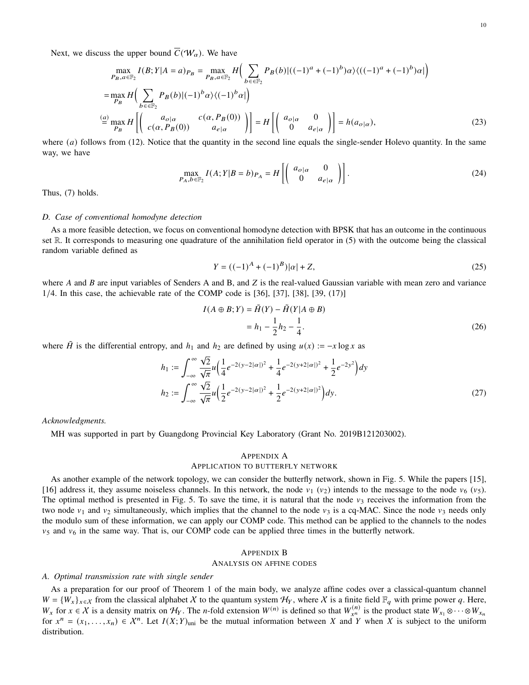Next, we discuss the upper bound  $\overline{C}(\mathcal{W}_\alpha)$ . We have

$$
\max_{P_B, a \in \mathbb{F}_2} I(B; Y | A = a)_{P_B} = \max_{P_B, a \in \mathbb{F}_2} H\left(\sum_{b \in \in \mathbb{F}_2} P_B(b) |((-1)^a + (-1)^b)\alpha\rangle \langle ((-1)^a + (-1)^b)\alpha| \right)
$$
  
\n
$$
= \max_{P_B} H\left(\sum_{b \in \mathbb{F}_2} P_B(b) |(-1)^b \alpha\rangle \langle (-1)^b \alpha| \right)
$$
  
\n
$$
\stackrel{(a)}{=} \max_{P_B} H\left[\begin{pmatrix} a_{o|\alpha} & c(\alpha, P_B(0)) \\ c(\alpha, P_B(0)) & a_{e|\alpha} \end{pmatrix}\right] = H\left[\begin{pmatrix} a_{o|\alpha} & 0 \\ 0 & a_{e|\alpha} \end{pmatrix}\right] = h(a_{o|\alpha}),
$$
 (23)

where  $(a)$  follows from (12). Notice that the quantity in the second line equals the single-sender Holevo quantity. In the same way, we have

$$
\max_{P_A, b \in \mathbb{F}_2} I(A; Y | B = b)_{P_A} = H\left[ \begin{pmatrix} a_{o \mid \alpha} & 0 \\ 0 & a_{e \mid \alpha} \end{pmatrix} \right].
$$
 (24)

Thus, (7) holds.

### *D. Case of conventional homodyne detection*

As a more feasible detection, we focus on conventional homodyne detection with BPSK that has an outcome in the continuous set R. It corresponds to measuring one quadrature of the annihilation field operator in (5) with the outcome being the classical random variable defined as

$$
Y = ((-1)^A + (-1)^B)|\alpha| + Z,\tag{25}
$$

where A and B are input variables of Senders A and B, and Z is the real-valued Gaussian variable with mean zero and variance  $1/4$ . In this case, the achievable rate of the COMP code is [36], [37], [38], [39, (17)]

$$
I(A \oplus B; Y) = \tilde{H}(Y) - \tilde{H}(Y|A \oplus B)
$$
  
=  $h_1 - \frac{1}{2}h_2 - \frac{1}{4}$ . (26)

where  $\tilde{H}$  is the differential entropy, and  $h_1$  and  $h_2$  are defined by using  $u(x) := -x \log x$  as

$$
h_1 := \int_{-\infty}^{\infty} \frac{\sqrt{2}}{\sqrt{\pi}} u \left( \frac{1}{4} e^{-2(y-2|\alpha|)^2} + \frac{1}{4} e^{-2(y+2|\alpha|)^2} + \frac{1}{2} e^{-2y^2} \right) dy
$$
  
\n
$$
h_2 := \int_{-\infty}^{\infty} \frac{\sqrt{2}}{\sqrt{\pi}} u \left( \frac{1}{2} e^{-2(y-2|\alpha|)^2} + \frac{1}{2} e^{-2(y+2|\alpha|)^2} \right) dy.
$$
\n(27)

#### *Acknowledgments.*

MH was supported in part by Guangdong Provincial Key Laboratory (Grant No. 2019B121203002).

#### APPENDIX A

## APPLICATION TO BUTTERFLY NETWORK

As another example of the network topology, we can consider the butterfly network, shown in Fig. 5. While the papers [15], [16] address it, they assume noiseless channels. In this network, the node  $v_1$  ( $v_2$ ) intends to the message to the node  $v_6$  ( $v_5$ ). The optimal method is presented in Fig. 5. To save the time, it is natural that the node  $v_3$  receives the information from the two node  $v_1$  and  $v_2$  simultaneously, which implies that the channel to the node  $v_3$  is a cq-MAC. Since the node  $v_3$  needs only the modulo sum of these information, we can apply our COMP code. This method can be applied to the channels to the nodes  $v_5$  and  $v_6$  in the same way. That is, our COMP code can be applied three times in the butterfly network.

#### APPENDIX B

#### ANALYSIS ON AFFINE CODES

#### *A. Optimal transmission rate with single sender*

As a preparation for our proof of Theorem 1 of the main body, we analyze affine codes over a classical-quantum channel  $W = \{W_x\}_{x \in \mathcal{X}}$  from the classical alphabet X to the quantum system  $\mathcal{H}_Y$ , where X is a finite field  $\mathbb{F}_q$  with prime power q. Here,  $W_x$  for  $x \in X$  is a density matrix on  $\mathcal{H}_Y$ . The *n*-fold extension  $W^{(n)}$  is defined so that  $W_{x^n}^{(n)}$  is the product state  $W_{x_1} \otimes \cdots \otimes W_{x_n}$ for  $x^n = (x_1, \ldots, x_n) \in \mathcal{X}^n$ . Let  $I(X;Y)_{\text{uni}}$  be the mutual information between X and Y when X is subject to the uniform distribution.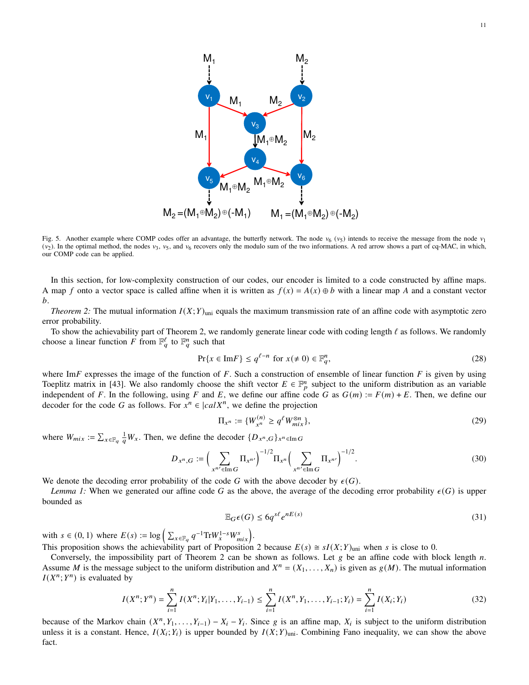

Fig. 5. Another example where COMP codes offer an advantage, the butterfly network. The node  $v_6$  ( $v_5$ ) intends to receive the message from the node  $v_1$  $(v_2)$ . In the optimal method, the nodes  $v_3$ ,  $v_5$ , and  $v_6$  recovers only the modulo sum of the two informations. A red arrow shows a part of cq-MAC, in which, our COMP code can be applied.

In this section, for low-complexity construction of our codes, our encoder is limited to a code constructed by affine maps. A map f onto a vector space is called affine when it is written as  $f(x) = A(x) \oplus b$  with a linear map A and a constant vector  $\mathfrak{b}.$ 

*Theorem 2:* The mutual information  $I(X;Y)_{\text{uni}}$  equals the maximum transmission rate of an affine code with asymptotic zero error probability.

To show the achievability part of Theorem 2, we randomly generate linear code with coding length  $\ell$  as follows. We randomly choose a linear function F from  $\mathbb{F}_q^{\ell}$  to  $\mathbb{F}_q^n$  such that

$$
\Pr\{x \in \text{Im} F\} \le q^{\ell - n} \text{ for } x(\neq 0) \in \mathbb{F}_q^n,\tag{28}
$$

where Im F expresses the image of the function of F. Such a construction of ensemble of linear function  $F$  is given by using Toeplitz matrix in [43]. We also randomly choose the shift vector  $E \in \mathbb{F}_p^n$  subject to the uniform distribution as an variable independent of F. In the following, using F and E, we define our affine code G as  $G(m) := F(m) + E$ . Then, we define our decoder for the code G as follows. For  $x^n \in |calX^n$ , we define the projection

$$
\Pi_{x^n} := \{ W_{x^n}^{(n)} \ge q^{\ell} W_{mix}^{\otimes n} \},\tag{29}
$$

where  $W_{mix} := \sum_{x \in \mathbb{F}_q} \frac{1}{q} W_x$ . Then, we define the decoder  $\{D_{x^n,G}\}_{x^n \in \text{Im }G}$ 

$$
D_{x^n,G} := \left(\sum_{x^{n'} \in \text{Im } G} \Pi_{x^{n'}}\right)^{-1/2} \Pi_{x^n} \left(\sum_{x^{n'} \in \text{Im } G} \Pi_{x^{n'}}\right)^{-1/2}.
$$
 (30)

We denote the decoding error probability of the code G with the above decoder by  $\epsilon(G)$ .

*Lemma 1:* When we generated our affine code G as the above, the average of the decoding error probability  $\epsilon(G)$  is upper bounded as

$$
\mathbb{E}_G \epsilon(G) \le 6q^{s\ell} e^{nE(s)} \tag{31}
$$

with  $s \in (0, 1)$  where  $E(s) := \log \left( \sum_{x \in \mathbb{F}_q} q^{-1} \text{Tr} W_x^{1-s} W_{mix}^s \right)$ .

This proposition shows the achievability part of Proposition 2 because  $E(s) \cong sI(X;Y)_{\text{uni}}$  when s is close to 0.

Conversely, the impossibility part of Theorem 2 can be shown as follows. Let  $g$  be an affine code with block length  $n$ . Assume M is the message subject to the uniform distribution and  $X^n = (X_1, \ldots, X_n)$  is given as  $g(M)$ . The mutual information  $I(X^n; Y^n)$  is evaluated by

$$
I(X^n;Y^n) = \sum_{i=1}^n I(X^n;Y_i|Y_1,\ldots,Y_{i-1}) \le \sum_{i=1}^n I(X^n,Y_1,\ldots,Y_{i-1};Y_i) = \sum_{i=1}^n I(X_i;Y_i)
$$
(32)

because of the Markov chain  $(X^n, Y_1, \ldots, Y_{i-1}) - X_i - Y_i$ . Since g is an affine map,  $X_i$  is subject to the uniform distribution unless it is a constant. Hence,  $I(X_i; Y_i)$  is upper bounded by  $I(X; Y)_{\text{uni}}$ . Combining Fano inequality, we can show the above fact.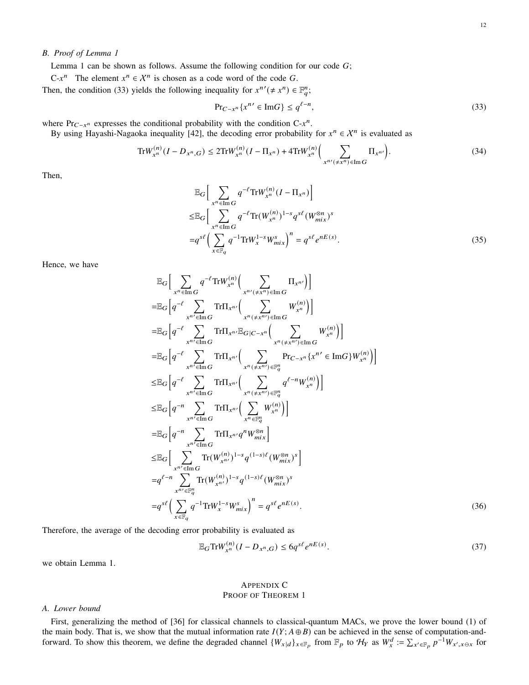# *B. Proof of Lemma 1*

Lemma 1 can be shown as follows. Assume the following condition for our code  $G$ ;

 $C-x^n$  The element  $x^n \in \mathcal{X}^n$  is chosen as a code word of the code G. Then, the condition (33) yields the following inequality for  $x^n'(\neq x^n) \in \mathbb{F}_q^n$ ;

$$
\Pr_{C-x^n} \{ x^n \in \text{Im} G \} \le q^{\ell-n},\tag{33}
$$

where  $Pr_{C-x^n}$  expresses the conditional probability with the condition  $C-x^n$ .

By using Hayashi-Nagaoka inequality [42], the decoding error probability for  $x^n \in \mathcal{X}^n$  is evaluated as

$$
\text{Tr}W_{x^n}^{(n)}(I - D_{x^n, G}) \le 2\text{Tr}W_{x^n}^{(n)}(I - \Pi_{x^n}) + 4\text{Tr}W_{x^n}^{(n)}\left(\sum_{x^n'(\neq x^n) \in \text{Im } G} \Pi_{x^n'}\right). \tag{34}
$$

Then,

$$
\mathbb{E}_{G}\Big[\sum_{x^{n}\in\operatorname{Im} G} q^{-\ell} \operatorname{Tr}W_{x^{n}}^{(n)}(I-\Pi_{x^{n}})\Big]
$$
  

$$
\leq \mathbb{E}_{G}\Big[\sum_{x^{n}\in\operatorname{Im} G} q^{-\ell} \operatorname{Tr}(W_{x^{n}}^{(n)})^{1-s} q^{s\ell} (W_{mix}^{\otimes n})^{s}
$$
  

$$
=q^{s\ell} \Big(\sum_{x\in\mathbb{F}_{q}} q^{-1} \operatorname{Tr}W_{x}^{1-s} W_{mix}^{s}\Big)^{n} = q^{s\ell} e^{nE(s)}.
$$
 (35)

Hence, we have

$$
\mathbb{E}_{G}\left[\sum_{x^{n} \in \text{Im } G} q^{-\ell} \text{Tr}W_{x^{n}}^{(n)}\left(\sum_{x^{n} \neq x^{n} \in \text{Im } G} \Pi_{x^{n}}\right)\right]
$$
\n
$$
= \mathbb{E}_{G}\left[q^{-\ell} \sum_{x^{n} \in \text{Im } G} \text{Tr}\Pi_{x^{n}}\left(\sum_{x^{n} \neq x^{n} \in \text{Im } G} W_{x^{n}}^{(n)}\right)\right]
$$
\n
$$
= \mathbb{E}_{G}\left[q^{-\ell} \sum_{x^{n} \in \text{Im } G} \text{Tr}\Pi_{x^{n} \neq x^{n} \in \text{Im } G} \sum_{x^{n} \neq x^{n} \in \text{Im } G} W_{x^{n}}^{(n)}\right]
$$
\n
$$
= \mathbb{E}_{G}\left[q^{-\ell} \sum_{x^{n} \in \text{Im } G} \text{Tr}\Pi_{x^{n} \neq x^{n}}\left(\sum_{x^{n} \neq x^{n} \in \text{Im } G} \text{Pr}_{C-x^{n}}\left\{x^{n} \in \text{Im } G\right\}W_{x^{n}}^{(n)}\right)\right]
$$
\n
$$
\leq \mathbb{E}_{G}\left[q^{-\ell} \sum_{x^{n} \in \text{Im } G} \text{Tr}\Pi_{x^{n} \neq x^{n} \in \text{Im } G} q^{\ell-n} W_{x^{n}}^{(n)}\right]
$$
\n
$$
\leq \mathbb{E}_{G}\left[q^{-n} \sum_{x^{n} \in \text{Im } G} \text{Tr}\Pi_{x^{n} \neq x^{n} \in \text{Im } G} \sum_{x^{n} \in \text{Im } G} q^{\ell-n} W_{x^{n}}^{(n)}\right]
$$
\n
$$
= \mathbb{E}_{G}\left[q^{-n} \sum_{x^{n} \in \text{Im } G} \text{Tr}\Pi_{x^{n} \neq x^{n} \in \text{Im } G} W_{x^{n}}^{(n)}\right]
$$
\n
$$
\leq \mathbb{E}_{G}\left[\sum_{x^{n} \neq x^{n} \in \text{Im } G} \text{Tr}\Pi_{x^{n} \neq x^{n} \in \text{Im } G} \sum_{x^{n} \in \text{Im } G} \text
$$

Therefore, the average of the decoding error probability is evaluated as

$$
\mathbb{E}_{G} \text{Tr} W_{x^{n}}^{(n)} (I - D_{x^{n}, G}) \le 6q^{s\ell} e^{nE(s)}.
$$
\n(37)

we obtain Lemma 1.

# APPENDIX C PROOF OF THEOREM 1

# *A. Lower bound*

First, generalizing the method of [36] for classical channels to classical-quantum MACs, we prove the lower bound (1) of the main body. That is, we show that the mutual information rate  $I(Y; A \oplus B)$  can be achieved in the sense of computation-andforward. To show this theorem, we define the degraded channel  $\{W_{x|d}\}_{x\in\mathbb{F}_p}$  from  $\mathbb{F}_p$  to  $\mathcal{H}_Y$  as  $W_x^d := \sum_{x'\in\mathbb{F}_p} p^{-1}W_{x',x\ominus x}$  for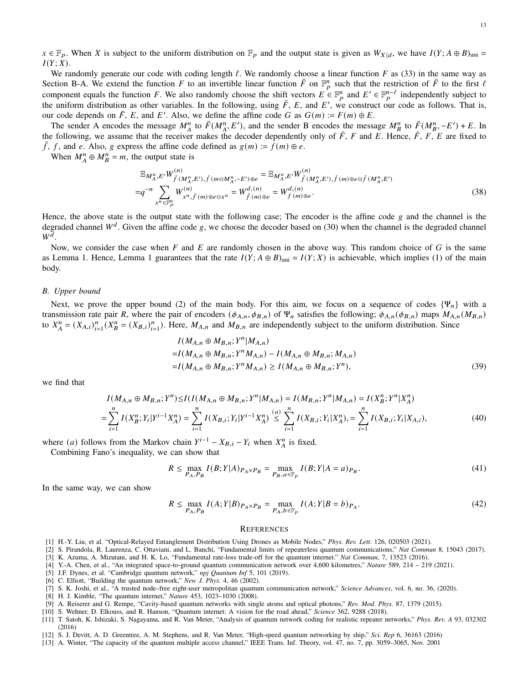$x \in \mathbb{F}_p$ . When X is subject to the uniform distribution on  $\mathbb{F}_p$  and the output state is given as  $W_{X|d}$ , we have  $I(Y; A \oplus B)_{\text{uni}} =$  $I(Y; X)$ .

We randomly generate our code with coding length  $\ell$ . We randomly choose a linear function F as (33) in the same way as Section B-A. We extend the function F to an invertible linear function  $\bar{F}$  on  $\mathbb{F}_p^n$  such that the restriction of  $\bar{F}$  to the first  $\ell$ component equals the function F. We also randomly choose the shift vectors  $E \in \mathbb{F}_p^n$  and  $E' \in \mathbb{F}_p^{n-\ell}$  independently subject to the uniform distribution as other variables. In the following, using  $\bar{F}$ ,  $E$ , and  $E'$ , we construct our code as follows. That is, our code depends on  $\overline{F}$ , E, and E'. Also, we define the affine code G as  $G(m) := F(m) \oplus E$ .

The sender A encodes the message  $M_A^n$  to  $\bar{F}(M_A^n, E')$ , and the sender B encodes the message  $M_B^n$  to  $\bar{F}(M_B^n, -E') + E$ . In the following, we assume that the receiver makes the decoder dependently only of  $\bar{F}$ ,  $F$  and  $E$ . Hence,  $\bar{F}$ ,  $\bar{F}$ ,  $\bar{F}$  are fixed to  $\bar{f}$ ,  $f$ , and  $e$ . Also,  $g$  express the affine code defined as  $g(m) := f(m) \oplus e$ .

When  $M_A^n \oplus M_B^n = m$ , the output state is

$$
\mathbb{E}_{M_{A}^{n}, E'} W_{\bar{f}}^{(n)}(M_{A}^{n}, E'), \bar{f} \ (m \ominus M_{A}^{n}, -E') \oplus e} = \mathbb{E}_{M_{A}^{n}, E'} W_{\bar{f}}^{(n)}(M_{A}^{n}, E'), \bar{f} \ (m) \oplus e \ominus \bar{f} \ (M_{A}^{n}, E') = q^{-n} \sum_{x^{n} \in \mathbb{F}_{p}^{n}} W_{x^{n}, \bar{f} \ (m) \oplus e \ominus x^{n}}^{(n)} = W_{\bar{f} \ (m) \oplus e}^{d, (n)} = W_{f \ (m) \oplus e}^{d, (n)}.
$$
\n(38)

Hence, the above state is the output state with the following case; The encoder is the affine code  $g$  and the channel is the degraded channel  $W^d$ . Given the affine code g, we choose the decoder based on (30) when the channel is the degraded channel  $W^{\overline{d}}$ .

Now, we consider the case when  $F$  and  $E$  are randomly chosen in the above way. This random choice of  $G$  is the same as Lemma 1. Hence, Lemma 1 guarantees that the rate  $I(Y; A \oplus B)_{\text{uni}} = I(Y; X)$  is achievable, which implies (1) of the main body.

#### *B. Upper bound*

Next, we prove the upper bound (2) of the main body. For this aim, we focus on a sequence of codes  $\{\Psi_n\}$  with a transmission rate pair R, where the pair of encoders ( $\phi_{A,n}, \phi_{B,n}$ ) of  $\Psi_n$  satisfies the following;  $\phi_{A,n}(\phi_{B,n})$  maps  $M_{A,n}(M_{B,n})$ to  $X_A^n = (X_{A,i})_{i=1}^n (X_B^n = (X_{B,i})_{i=1}^n)$ . Here,  $M_{A,n}$  and  $M_{B,n}$  are independently subject to the uniform distribution. Since

$$
I(M_{A,n} \oplus M_{B,n}; Y^n | M_{A,n})
$$
  
= $I(M_{A,n} \oplus M_{B,n}; Y^n M_{A,n}) - I(M_{A,n} \oplus M_{B,n}; M_{A,n})$   
= $I(M_{A,n} \oplus M_{B,n}; Y^n M_{A,n}) \ge I(M_{A,n} \oplus M_{B,n}; Y^n),$  (39)

we find that

$$
I(M_{A,n} \oplus M_{B,n}; Y^n) \le I(I(M_{A,n} \oplus M_{B,n}; Y^n | M_{A,n}) = I(M_{B,n}; Y^n | M_{A,n}) = I(X^n_B; Y^n | X^n_A)
$$
  
= 
$$
\sum_{i=1}^n I(X^n_B; Y_i | Y^{i-1} X^n_A) = \sum_{i=1}^n I(X_{B,i}; Y_i | Y^{i-1} X^n_A) \stackrel{(a)}{\le} \sum_{i=1}^n I(X_{B,i}; Y_i | X^n_A) = \sum_{i=1}^n I(X_{B,i}; Y_i | X_{A,i}),
$$
 (40)

where (*a*) follows from the Markov chain  $Y^{i-1} - X_{B,i} - Y_i$  when  $X_A^n$  is fixed.

Combining Fano's inequality, we can show that

$$
R \le \max_{P_A, P_B} I(B; Y|A)_{P_A \times P_B} = \max_{P_B, a \in \mathbb{F}_p} I(B; Y|A = a)_{P_B}.
$$
\n(41)

In the same way, we can show

$$
R \le \max_{P_A, P_B} I(A;Y|B)_{P_A \times P_B} = \max_{P_A, b \in \mathbb{F}_p} I(A;Y|B=b)_{P_A}.
$$
\n(42)

#### **REFERENCES**

- [1] H.-Y. Liu, et al. "Optical-Relayed Entanglement Distribution Using Drones as Mobile Nodes," *Phys. Rev. Lett.* 126, 020503 (2021).
- [2] S. Pirandola, R. Laurenza, C. Ottaviani, and L. Banchi, "Fundamental limits of repeaterless quantum communications," *Nat Commun* 8, 15043 (2017).
- [3] K. Azuma, A. Mizutani, and H. K. Lo, "Fundamental rate-loss trade-off for the quantum internet." *Nat Commun*, 7, 13523 (2016).
- [4] Y.-A. Chen, et al., "An integrated space-to-ground quantum communication network over 4,600 kilometres," *Nature* 589, 214 219 (2021).
- [5] J.F. Dynes, et al. "Cambridge quantum network," *npj Quantum Inf* 5, 101 (2019).
- [6] C. Elliott, "Building the quantum network," *New J. Phys.* 4, 46 (2002).
- [7] S. K. Joshi, et al., "A trusted node–free eight-user metropolitan quantum communication network," *Science Advances*, vol. 6, no. 36, (2020).
- [8] H. J. Kimble, "The quantum internet," *Nature* 453, 1023–1030 (2008).
- [9] A. Reiserer and G. Rempe, "Cavity-based quantum networks with single atoms and optical photons," *Rev. Mod. Phys.* 87, 1379 (2015).
- [10] S. Wehner, D. Elkouss, and R. Hanson, "Quantum internet: A vision for the road ahead," *Science* 362, 9288 (2018).
- [11] T. Satoh, K. Ishizaki, S. Nagayama, and R. Van Meter, "Analysis of quantum network coding for realistic repeater networks," *Phys. Rev. A* 93, 032302 (2016)
- [12] S. J. Devitt, A. D. Greentree, A. M. Stephens, and R. Van Meter, "High-speed quantum networking by ship," *Sci. Rep* 6, 36163 (2016)
- [13] A. Winter, "The capacity of the quantum multiple access channel," IEEE Trans. Inf. Theory, vol. 47, no. 7, pp. 3059–3065, Nov. 2001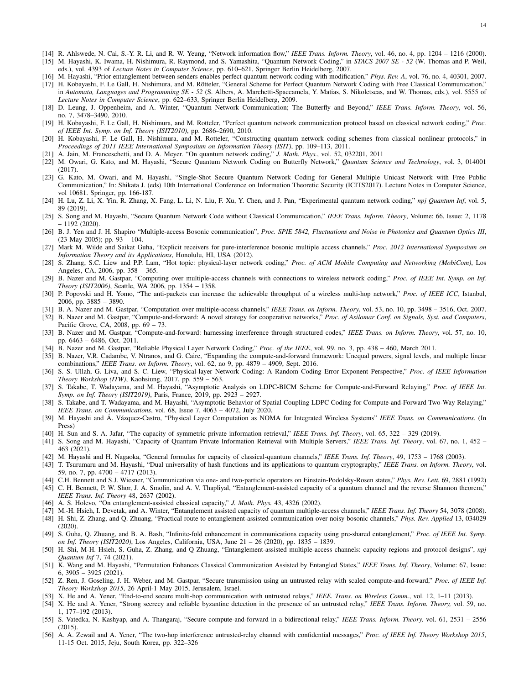- [14] R. Ahlswede, N. Cai, S.-Y. R. Li, and R. W. Yeung, "Network information flow," *IEEE Trans. Inform. Theory*, vol. 46, no. 4, pp. 1204 1216 (2000).
- [15] M. Hayashi, K. Iwama, H. Nishimura, R. Raymond, and S. Yamashita, "Quantum Network Coding," in *STACS 2007 SE 52* (W. Thomas and P. Weil, eds.), vol. 4393 of *Lecture Notes in Computer Science*, pp. 610–621, Springer Berlin Heidelberg, 2007.
- [16] M. Hayashi, "Prior entanglement between senders enables perfect quantum network coding with modification," *Phys. Rev. A*, vol. 76, no. 4, 40301, 2007. [17] H. Kobayashi, F. Le Gall, H. Nishimura, and M. Rötteler, "General Scheme for Perfect Quantum Network Coding with Free Classical Communication," in *Automata, Languages and Programming SE - 52* (S. Albers, A. Marchetti-Spaccamela, Y. Matias, S. Nikoletseas, and W. Thomas, eds.), vol. 5555 of *Lecture Notes in Computer Science*, pp. 622–633, Springer Berlin Heidelberg, 2009.
- [18] D. Leung, J. Oppenheim, and A. Winter, "Quantum Network Communication; The Butterfly and Beyond," *IEEE Trans. Inform. Theory*, vol. 56, no. 7, 3478–3490, 2010.
- [19] H. Kobayashi, F. Le Gall, H. Nishimura, and M. Rotteler, "Perfect quantum network communication protocol based on classical network coding," *Proc. of IEEE Int. Symp. on Inf. Theory (ISIT2010)*, pp. 2686–2690, 2010.
- [20] H. Kobayashi, F. Le Gall, H. Nishimura, and M. Rotteler, "Constructing quantum network coding schemes from classical nonlinear protocols," in *Proceedings of 2011 IEEE International Symposium on Information Theory (ISIT)*, pp. 109–113, 2011.
- [21] A. Jain, M. Franceschetti, and D. A. Meyer. "On quantum network coding," *J. Math. Phys.*, vol. 52, 032201, 2011
- [22] M. Owari, G. Kato, and M. Hayashi, "Secure Quantum Network Coding on Butterfly Network," *Quantum Science and Technology*, vol. 3, 014001 (2017).
- [23] G. Kato, M. Owari, and M. Hayashi, "Single-Shot Secure Quantum Network Coding for General Multiple Unicast Network with Free Public Communication," In: Shikata J. (eds) 10th International Conference on Information Theoretic Security (ICITS2017). Lecture Notes in Computer Science, vol 10681. Springer, pp. 166-187.
- [24] H. Lu, Z. Li, X. Yin, R. Zhang, X. Fang, L. Li, N. Liu, F. Xu, Y. Chen, and J. Pan, "Experimental quantum network coding," *npj Quantum Inf*, vol. 5, 89 (2019).
- [25] S. Song and M. Hayashi, "Secure Quantum Network Code without Classical Communication," *IEEE Trans. Inform. Theory*, Volume: 66, Issue: 2, 1178 – 1192 (2020).
- [26] B. J. Yen and J. H. Shapiro "Multiple-access Bosonic communication", *Proc. SPIE 5842, Fluctuations and Noise in Photonics and Quantum Optics III*, (23 May 2005); pp. 93 – 104.
- [27] Mark M. Wilde and Saikat Guha, "Explicit receivers for pure-interference bosonic multiple access channels," *Proc. 2012 International Symposium on Information Theory and its Applications*, Honolulu, HI, USA (2012).
- [28] S. Zhang, S.C. Liew and P.P. Lam, "Hot topic: physical-layer network coding," *Proc. of ACM Mobile Computing and Networking (MobiCom)*, Los Angeles, CA, 2006, pp. 358 – 365.
- [29] B. Nazer and M. Gastpar, "Computing over multiple-access channels with connections to wireless network coding," *Proc. of IEEE Int. Symp. on Inf. Theory (ISIT2006)*, Seattle, WA 2006, pp. 1354 – 1358.
- [30] P. Popovski and H. Yomo, "The anti-packets can increase the achievable throughput of a wireless multi-hop network," *Proc. of IEEE ICC*, Istanbul, 2006, pp. 3885 – 3890.
- [31] B. A. Nazer and M. Gastpar, "Computation over multiple-access channels," *IEEE Trans. on Inform. Theory*, vol. 53, no. 10, pp. 3498 3516, Oct. 2007.
- [32] B. Nazer and M. Gastpar, "Compute-and-forward: A novel strategy for cooperative networks," *Proc. of Asilomar Conf. on Signals, Syst. and Computers*, Pacific Grove, CA, 2008, pp. 69 – 73.
- [33] B. Nazer and M. Gastpar, "Compute-and-forward: harnessing interference through structured codes," *IEEE Trans. on Inform. Theory*, vol. 57, no. 10, pp. 6463 – 6486, Oct. 2011.
- [34] B. Nazer and M. Gastpar, "Reliable Physical Layer Network Coding," *Proc. of the IEEE*, vol. 99, no. 3, pp. 438 460, March 2011.
- [35] B. Nazer, V.R. Cadambe, V. Ntranos, and G. Caire, "Expanding the compute-and-forward framework: Unequal powers, signal levels, and multiple linear combinations," *IEEE Trans. on Inform. Theory*, vol. 62, no 9, pp. 4879 – 4909, Sept. 2016.
- [36] S. S. Ullah, G. Liva, and S. C. Liew, "Physical-layer Network Coding: A Random Coding Error Exponent Perspective," *Proc. of IEEE Information Theory Workshop (ITW)*, Kaohsiung, 2017, pp. 559 – 563.
- [37] S. Takabe, T. Wadayama, and M. Hayashi, "Asymptotic Analysis on LDPC-BICM Scheme for Compute-and-Forward Relaying," *Proc. of IEEE Int. Symp. on Inf. Theory (ISIT2019)*, Paris, France, 2019, pp. 2923 – 2927.
- [38] S. Takabe, and T. Wadayama, and M. Hayashi, "Asymptotic Behavior of Spatial Coupling LDPC Coding for Compute-and-Forward Two-Way Relaying," *IEEE Trans. on Communications*, vol. 68, Issue 7, 4063 – 4072, July 2020.
- [39] M. Hayashi and Á. Vázquez-Castro, "Physical Layer Computation as NOMA for Integrated Wireless Systems" IEEE Trans. on Communications. (In Press)
- [40] H. Sun and S. A. Jafar, "The capacity of symmetric private information retrieval," *IEEE Trans. Inf. Theory*, vol. 65, 322 329 (2019).
- [41] S. Song and M. Hayashi, "Capacity of Quantum Private Information Retrieval with Multiple Servers," *IEEE Trans. Inf. Theory*, vol. 67, no. 1, 452 463 (2021).
- [42] M. Hayashi and H. Nagaoka, "General formulas for capacity of classical-quantum channels," *IEEE Trans. Inf. Theory*, 49, 1753 1768 (2003).
- [43] T. Tsurumaru and M. Hayashi, "Dual universality of hash functions and its applications to quantum cryptography," *IEEE Trans. on Inform. Theory*, vol. 59, no. 7, pp. 4700 – 4717 (2013).
- [44] C.H. Bennett and S.J. Wiesner, "Communication via one- and two-particle operators on Einstein-Podolsky-Rosen states," *Phys. Rev. Lett.* 69, 2881 (1992) [45] C. H. Bennett, P. W. Shor, J. A. Smolin, and A. V. Thapliyal, "Entanglement-assisted capacity of a quantum channel and the reverse Shannon theorem,"
- *IEEE Trans. Inf. Theory* 48, 2637 (2002).
- [46] A. S. Holevo, "On entanglement-assisted classical capacity," *J. Math. Phys.* 43, 4326 (2002).
- [47] M.-H. Hsieh, I. Devetak, and A. Winter, "Entanglement assisted capacity of quantum multiple-access channels," *IEEE Trans. Inf. Theory* 54, 3078 (2008). [48] H. Shi, Z. Zhang, and Q. Zhuang, "Practical route to entanglement-assisted communication over noisy bosonic channels," *Phys. Rev. Applied* 13, 034029 (2020).
- [49] S. Guha, Q. Zhuang, and B. A. Bash, "Infinite-fold enhancement in communications capacity using pre-shared entanglement," *Proc. of IEEE Int. Symp. on Inf. Theory (ISIT2020)*, Los Angeles, California, USA, June 21 – 26 (2020), pp. 1835 – 1839.
- [50] H. Shi, M-H. Hsieh, S. Guha, Z. Zhang, and Q Zhuang, "Entanglement-assisted multiple-access channels: capacity regions and protocol designs", *npj Quantum Inf* 7, 74 (2021).
- [51] K. Wang and M. Hayashi, "Permutation Enhances Classical Communication Assisted by Entangled States," *IEEE Trans. Inf. Theory*, Volume: 67, Issue: 6, 3905 – 3925 (2021).
- [52] Z. Ren, J. Goseling, J. H. Weber, and M. Gastpar, "Secure transmission using an untrusted relay with scaled compute-and-forward," *Proc. of IEEE Inf. Theory Workshop 2015*, 26 April-1 May 2015, Jerusalem, Israel.
- [53] X. He and A. Yener, "End-to-end secure multi-hop communication with untrusted relays," *IEEE. Trans. on Wireless Comm.*, vol. 12, 1–11 (2013).
- [54] X. He and A. Yener, "Strong secrecy and reliable byzantine detection in the presence of an untrusted relay," *IEEE Trans. Inform. Theory,* vol. 59, no. 1, 177–192 (2013).
- [55] S. Vatedka, N. Kashyap, and A. Thangaraj, "Secure compute-and-forward in a bidirectional relay," *IEEE Trans. Inform. Theory,* vol. 61, 2531 2556 (2015).
- [56] A. A. Zewail and A. Yener, "The two-hop interference untrusted-relay channel with confidential messages," *Proc. of IEEE Inf. Theory Workshop 2015*, 11-15 Oct. 2015, Jeju, South Korea, pp. 322–326